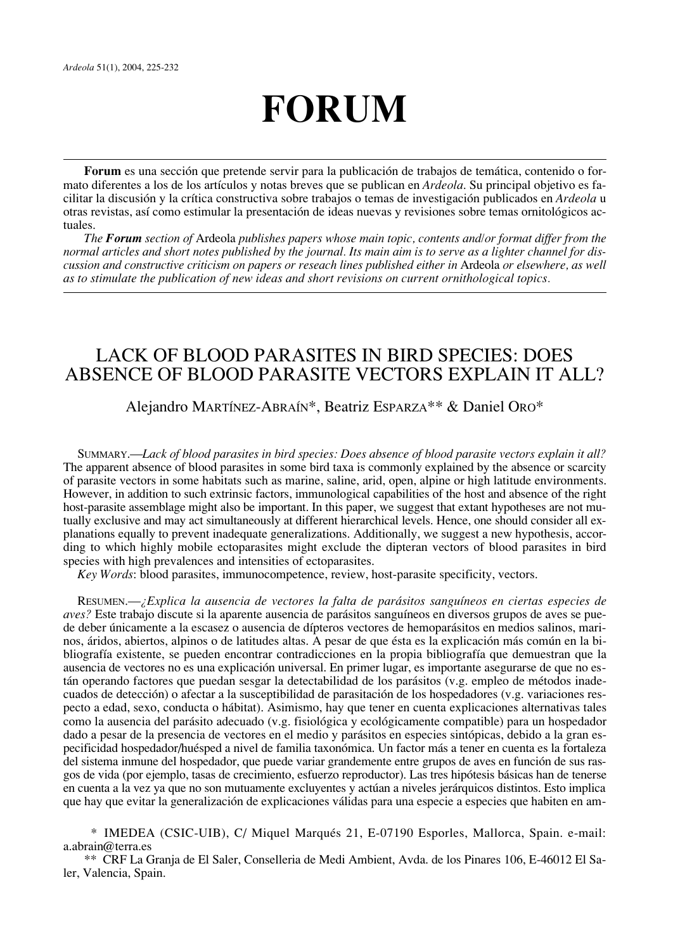# **FORUM**

**Forum** es una sección que pretende servir para la publicación de trabajos de temática, contenido o formato diferentes a los de los artículos y notas breves que se publican en *Ardeola*. Su principal objetivo es facilitar la discusión y la crítica constructiva sobre trabajos o temas de investigación publicados en *Ardeola* u otras revistas, así como estimular la presentación de ideas nuevas y revisiones sobre temas ornitológicos actuales.

*The Forum section of* Ardeola *publishes papers whose main topic, contents and/or format differ from the normal articles and short notes published by the journal. Its main aim is to serve as a lighter channel for discussion and constructive criticism on papers or reseach lines published either in* Ardeola *or elsewhere, as well as to stimulate the publication of new ideas and short revisions on current ornithological topics.*

# LACK OF BLOOD PARASITES IN BIRD SPECIES: DOES ABSENCE OF BLOOD PARASITE VECTORS EXPLAIN IT ALL?

Alejandro MARTÍNEZ-ABRAÍN\*, Beatriz ESPARZA\*\* & Daniel ORO\*

SUMMARY.—*Lack of blood parasites in bird species: Does absence of blood parasite vectors explain it all?* The apparent absence of blood parasites in some bird taxa is commonly explained by the absence or scarcity of parasite vectors in some habitats such as marine, saline, arid, open, alpine or high latitude environments. However, in addition to such extrinsic factors, immunological capabilities of the host and absence of the right host-parasite assemblage might also be important. In this paper, we suggest that extant hypotheses are not mutually exclusive and may act simultaneously at different hierarchical levels. Hence, one should consider all explanations equally to prevent inadequate generalizations. Additionally, we suggest a new hypothesis, according to which highly mobile ectoparasites might exclude the dipteran vectors of blood parasites in bird species with high prevalences and intensities of ectoparasites.

*Key Words*: blood parasites, immunocompetence, review, host-parasite specificity, vectors.

RESUMEN.—*¿Explica la ausencia de vectores la falta de parásitos sanguíneos en ciertas especies de aves?* Este trabajo discute si la aparente ausencia de parásitos sanguíneos en diversos grupos de aves se puede deber únicamente a la escasez o ausencia de dípteros vectores de hemoparásitos en medios salinos, marinos, áridos, abiertos, alpinos o de latitudes altas. A pesar de que ésta es la explicación más común en la bibliografía existente, se pueden encontrar contradicciones en la propia bibliografía que demuestran que la ausencia de vectores no es una explicación universal. En primer lugar, es importante asegurarse de que no están operando factores que puedan sesgar la detectabilidad de los parásitos (v.g. empleo de métodos inadecuados de detección) o afectar a la susceptibilidad de parasitación de los hospedadores (v.g. variaciones respecto a edad, sexo, conducta o hábitat). Asimismo, hay que tener en cuenta explicaciones alternativas tales como la ausencia del parásito adecuado (v.g. fisiológica y ecológicamente compatible) para un hospedador dado a pesar de la presencia de vectores en el medio y parásitos en especies sintópicas, debido a la gran especificidad hospedador/huésped a nivel de familia taxonómica. Un factor más a tener en cuenta es la fortaleza del sistema inmune del hospedador, que puede variar grandemente entre grupos de aves en función de sus rasgos de vida (por ejemplo, tasas de crecimiento, esfuerzo reproductor). Las tres hipótesis básicas han de tenerse en cuenta a la vez ya que no son mutuamente excluyentes y actúan a niveles jerárquicos distintos. Esto implica que hay que evitar la generalización de explicaciones válidas para una especie a especies que habiten en am-

\* IMEDEA (CSIC-UIB), C/ Miquel Marqués 21, E-07190 Esporles, Mallorca, Spain. e-mail: a.abrain@terra.es

\*\* CRF La Granja de El Saler, Conselleria de Medi Ambient, Avda. de los Pinares 106, E-46012 El Saler, Valencia, Spain.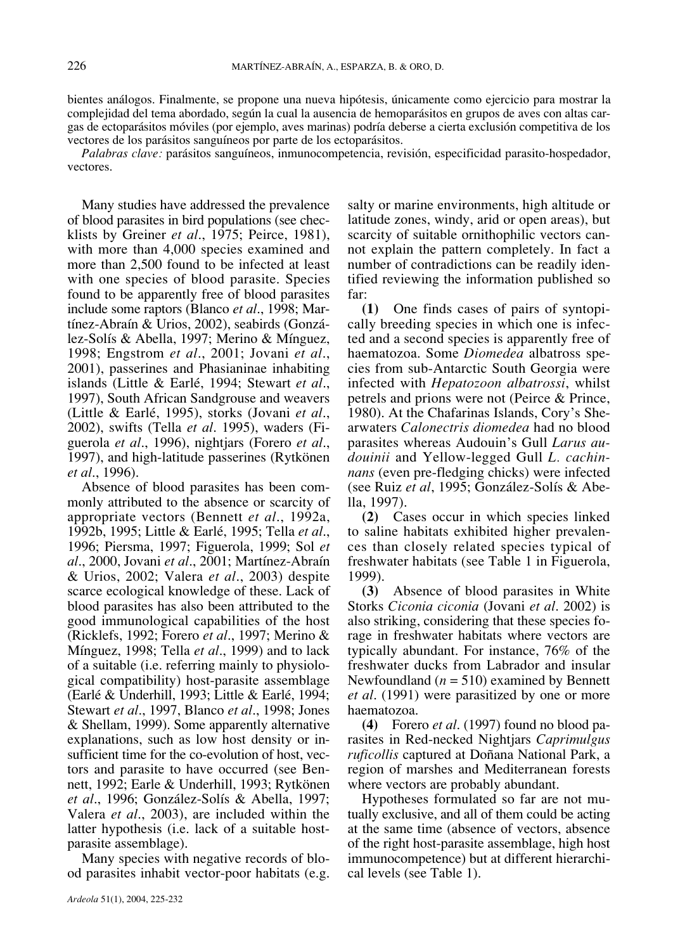bientes análogos. Finalmente, se propone una nueva hipótesis, únicamente como ejercicio para mostrar la complejidad del tema abordado, según la cual la ausencia de hemoparásitos en grupos de aves con altas cargas de ectoparásitos móviles (por ejemplo, aves marinas) podría deberse a cierta exclusión competitiva de los vectores de los parásitos sanguíneos por parte de los ectoparásitos.

*Palabras clave:* parásitos sanguíneos, inmunocompetencia, revisión, especificidad parasito-hospedador, vectores.

Many studies have addressed the prevalence of blood parasites in bird populations (see checklists by Greiner *et al*., 1975; Peirce, 1981), with more than 4,000 species examined and more than 2,500 found to be infected at least with one species of blood parasite. Species found to be apparently free of blood parasites include some raptors (Blanco *et al*., 1998; Martínez-Abraín & Urios, 2002), seabirds (González-Solís & Abella, 1997; Merino & Mínguez, 1998; Engstrom *et al*., 2001; Jovani *et al*., 2001), passerines and Phasianinae inhabiting islands (Little & Earlé, 1994; Stewart *et al*., 1997), South African Sandgrouse and weavers (Little & Earlé, 1995), storks (Jovani *et al*., 2002), swifts (Tella *et al*. 1995), waders (Figuerola *et al*., 1996), nightjars (Forero *et al*., 1997), and high-latitude passerines (Rytkönen *et al*., 1996).

Absence of blood parasites has been commonly attributed to the absence or scarcity of appropriate vectors (Bennett *et al*., 1992a, 1992b, 1995; Little & Earlé, 1995; Tella *et al*., 1996; Piersma, 1997; Figuerola, 1999; Sol *et al*., 2000, Jovani *et al*., 2001; Martínez-Abraín & Urios, 2002; Valera *et al*., 2003) despite scarce ecological knowledge of these. Lack of blood parasites has also been attributed to the good immunological capabilities of the host (Ricklefs, 1992; Forero *et al*., 1997; Merino & Mínguez, 1998; Tella *et al*., 1999) and to lack of a suitable (i.e. referring mainly to physiological compatibility) host-parasite assemblage (Earlé & Underhill, 1993; Little & Earlé, 1994; Stewart *et al*., 1997, Blanco *et al*., 1998; Jones & Shellam, 1999). Some apparently alternative explanations, such as low host density or insufficient time for the co-evolution of host, vectors and parasite to have occurred (see Bennett, 1992; Earle & Underhill, 1993; Rytkönen *et al*., 1996; González-Solís & Abella, 1997; Valera *et al*., 2003), are included within the latter hypothesis (i.e. lack of a suitable hostparasite assemblage).

Many species with negative records of blood parasites inhabit vector-poor habitats (e.g. salty or marine environments, high altitude or latitude zones, windy, arid or open areas), but scarcity of suitable ornithophilic vectors cannot explain the pattern completely. In fact a number of contradictions can be readily identified reviewing the information published so far:

**(1)** One finds cases of pairs of syntopically breeding species in which one is infected and a second species is apparently free of haematozoa. Some *Diomedea* albatross species from sub-Antarctic South Georgia were infected with *Hepatozoon albatrossi*, whilst petrels and prions were not (Peirce & Prince, 1980). At the Chafarinas Islands, Cory's Shearwaters *Calonectris diomedea* had no blood parasites whereas Audouin's Gull *Larus audouinii* and Yellow-legged Gull *L. cachinnans* (even pre-fledging chicks) were infected (see Ruiz *et al*, 1995; González-Solís & Abella, 1997).

**(2)** Cases occur in which species linked to saline habitats exhibited higher prevalences than closely related species typical of freshwater habitats (see Table 1 in Figuerola, 1999).

**(3)** Absence of blood parasites in White Storks *Ciconia ciconia* (Jovani *et al*. 2002) is also striking, considering that these species forage in freshwater habitats where vectors are typically abundant. For instance, 76% of the freshwater ducks from Labrador and insular Newfoundland (*n* = 510) examined by Bennett *et al*. (1991) were parasitized by one or more haematozoa.

**(4)** Forero *et al*. (1997) found no blood parasites in Red-necked Nightjars *Caprimulgus ruficollis* captured at Doñana National Park, a region of marshes and Mediterranean forests where vectors are probably abundant.

Hypotheses formulated so far are not mutually exclusive, and all of them could be acting at the same time (absence of vectors, absence of the right host-parasite assemblage, high host immunocompetence) but at different hierarchical levels (see Table 1).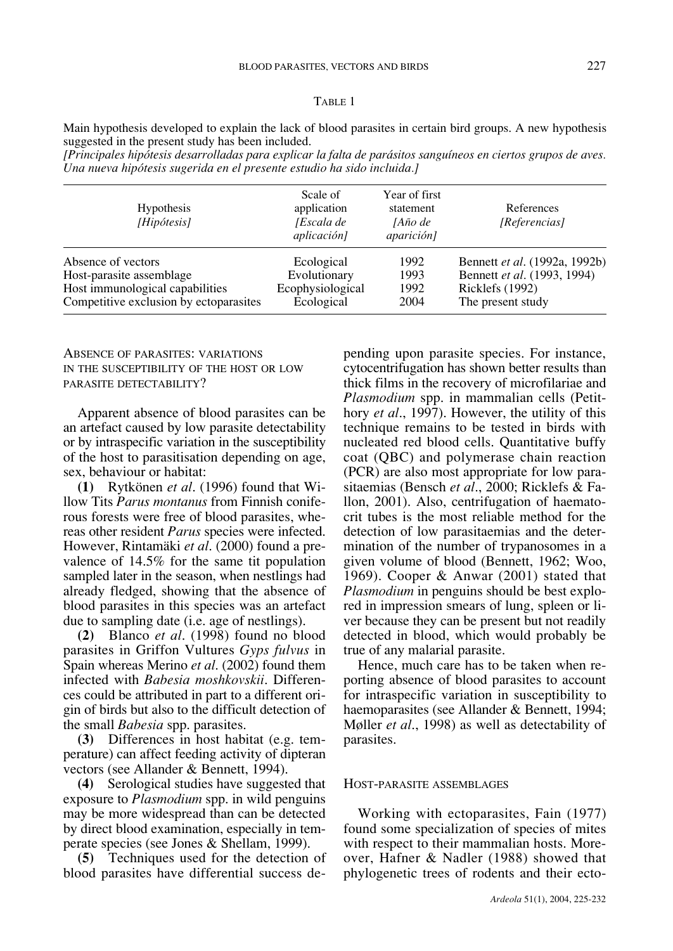#### TABLE 1

Main hypothesis developed to explain the lack of blood parasites in certain bird groups. A new hypothesis suggested in the present study has been included.

*[Principales hipótesis desarrolladas para explicar la falta de parásitos sanguíneos en ciertos grupos de aves. Una nueva hipótesis sugerida en el presente estudio ha sido incluida.]*

| <b>Hypothesis</b><br>[Hipótesis]       | Scale of<br>application<br>[Escala de<br>aplicación] | Year of first<br>statement<br><i>JAño de</i><br>aparición] | References<br>[Referencias]   |
|----------------------------------------|------------------------------------------------------|------------------------------------------------------------|-------------------------------|
| Absence of vectors                     | Ecological                                           | 1992                                                       | Bennett et al. (1992a, 1992b) |
| Host-parasite assemblage               | Evolutionary                                         | 1993                                                       | Bennett et al. (1993, 1994)   |
| Host immunological capabilities        | Ecophysiological                                     | 1992                                                       | Ricklefs (1992)               |
| Competitive exclusion by ectoparasites | Ecological                                           | 2004                                                       | The present study             |

## ABSENCE OF PARASITES: VARIATIONS IN THE SUSCEPTIBILITY OF THE HOST OR LOW PARASITE DETECTABILITY?

Apparent absence of blood parasites can be an artefact caused by low parasite detectability or by intraspecific variation in the susceptibility of the host to parasitisation depending on age, sex, behaviour or habitat:

**(1)** Rytkönen *et al*. (1996) found that Willow Tits *Parus montanus* from Finnish coniferous forests were free of blood parasites, whereas other resident *Parus* species were infected. However, Rintamäki *et al*. (2000) found a prevalence of 14.5% for the same tit population sampled later in the season, when nestlings had already fledged, showing that the absence of blood parasites in this species was an artefact due to sampling date (i.e. age of nestlings).

**(2)** Blanco *et al*. (1998) found no blood parasites in Griffon Vultures *Gyps fulvus* in Spain whereas Merino *et al*. (2002) found them infected with *Babesia moshkovskii*. Differences could be attributed in part to a different origin of birds but also to the difficult detection of the small *Babesia* spp. parasites.

**(3)** Differences in host habitat (e.g. temperature) can affect feeding activity of dipteran vectors (see Allander & Bennett, 1994).

**(4)** Serological studies have suggested that exposure to *Plasmodium* spp. in wild penguins may be more widespread than can be detected by direct blood examination, especially in temperate species (see Jones & Shellam, 1999).

**(5)** Techniques used for the detection of blood parasites have differential success depending upon parasite species. For instance, cytocentrifugation has shown better results than thick films in the recovery of microfilariae and *Plasmodium* spp. in mammalian cells (Petithory *et al*., 1997). However, the utility of this technique remains to be tested in birds with nucleated red blood cells. Quantitative buffy coat (QBC) and polymerase chain reaction (PCR) are also most appropriate for low parasitaemias (Bensch *et al*., 2000; Ricklefs & Fallon, 2001). Also, centrifugation of haematocrit tubes is the most reliable method for the detection of low parasitaemias and the determination of the number of trypanosomes in a given volume of blood (Bennett, 1962; Woo, 1969). Cooper & Anwar (2001) stated that *Plasmodium* in penguins should be best explored in impression smears of lung, spleen or liver because they can be present but not readily detected in blood, which would probably be true of any malarial parasite.

Hence, much care has to be taken when reporting absence of blood parasites to account for intraspecific variation in susceptibility to haemoparasites (see Allander & Bennett, 1994; Møller *et al*., 1998) as well as detectability of parasites.

#### HOST-PARASITE ASSEMBLAGES

Working with ectoparasites, Fain (1977) found some specialization of species of mites with respect to their mammalian hosts. Moreover, Hafner & Nadler (1988) showed that phylogenetic trees of rodents and their ecto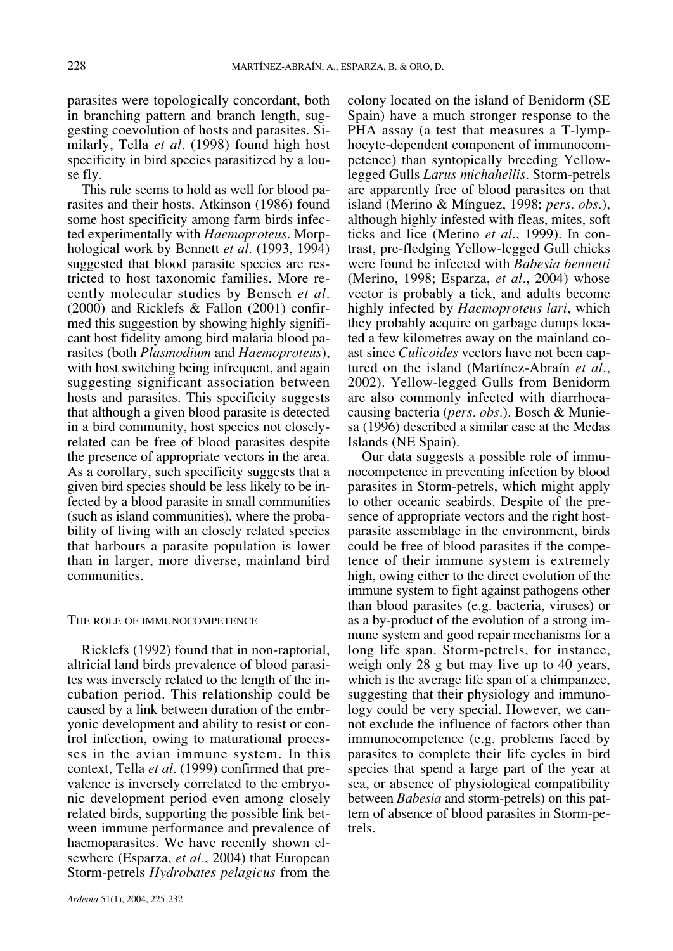parasites were topologically concordant, both in branching pattern and branch length, suggesting coevolution of hosts and parasites. Similarly, Tella *et al*. (1998) found high host specificity in bird species parasitized by a louse fly.

This rule seems to hold as well for blood parasites and their hosts. Atkinson (1986) found some host specificity among farm birds infected experimentally with *Haemoproteus*. Morphological work by Bennett *et al*. (1993, 1994) suggested that blood parasite species are restricted to host taxonomic families. More recently molecular studies by Bensch *et al*. (2000) and Ricklefs & Fallon (2001) confirmed this suggestion by showing highly significant host fidelity among bird malaria blood parasites (both *Plasmodium* and *Haemoproteus*), with host switching being infrequent, and again suggesting significant association between hosts and parasites. This specificity suggests that although a given blood parasite is detected in a bird community, host species not closelyrelated can be free of blood parasites despite the presence of appropriate vectors in the area. As a corollary, such specificity suggests that a given bird species should be less likely to be infected by a blood parasite in small communities (such as island communities), where the probability of living with an closely related species that harbours a parasite population is lower than in larger, more diverse, mainland bird communities.

#### THE ROLE OF IMMUNOCOMPETENCE

Ricklefs (1992) found that in non-raptorial, altricial land birds prevalence of blood parasites was inversely related to the length of the incubation period. This relationship could be caused by a link between duration of the embryonic development and ability to resist or control infection, owing to maturational processes in the avian immune system. In this context, Tella *et al*. (1999) confirmed that prevalence is inversely correlated to the embryonic development period even among closely related birds, supporting the possible link between immune performance and prevalence of haemoparasites. We have recently shown elsewhere (Esparza, *et al.*, 2004) that European Storm-petrels *Hydrobates pelagicus* from the

colony located on the island of Benidorm (SE Spain) have a much stronger response to the PHA assay (a test that measures a T-lymphocyte-dependent component of immunocompetence) than syntopically breeding Yellowlegged Gulls *Larus michahellis*. Storm-petrels are apparently free of blood parasites on that island (Merino & Mínguez, 1998; *pers. obs.*), although highly infested with fleas, mites, soft ticks and lice (Merino *et al*., 1999). In contrast, pre-fledging Yellow-legged Gull chicks were found be infected with *Babesia bennetti* (Merino, 1998; Esparza, *et al.*, 2004) whose vector is probably a tick, and adults become highly infected by *Haemoproteus lari*, which they probably acquire on garbage dumps located a few kilometres away on the mainland coast since *Culicoides* vectors have not been captured on the island (Martínez-Abraín *et al*., 2002). Yellow-legged Gulls from Benidorm are also commonly infected with diarrhoeacausing bacteria (*pers. obs.*). Bosch & Muniesa (1996) described a similar case at the Medas Islands (NE Spain).

Our data suggests a possible role of immunocompetence in preventing infection by blood parasites in Storm-petrels, which might apply to other oceanic seabirds. Despite of the presence of appropriate vectors and the right hostparasite assemblage in the environment, birds could be free of blood parasites if the competence of their immune system is extremely high, owing either to the direct evolution of the immune system to fight against pathogens other than blood parasites (e.g. bacteria, viruses) or as a by-product of the evolution of a strong immune system and good repair mechanisms for a long life span. Storm-petrels, for instance, weigh only 28 g but may live up to 40 years, which is the average life span of a chimpanzee, suggesting that their physiology and immunology could be very special. However, we cannot exclude the influence of factors other than immunocompetence (e.g. problems faced by parasites to complete their life cycles in bird species that spend a large part of the year at sea, or absence of physiological compatibility between *Babesia* and storm-petrels) on this pattern of absence of blood parasites in Storm-petrels.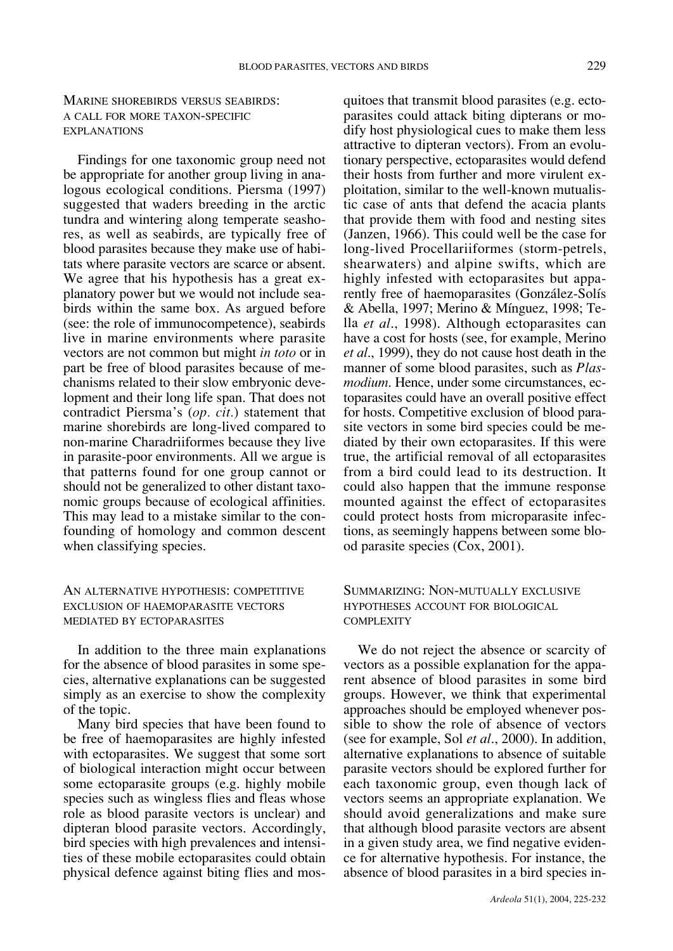MARINE SHOREBIRDS VERSUS SEABIRDS: A CALL FOR MORE TAXON-SPECIFIC EXPLANATIONS

Findings for one taxonomic group need not be appropriate for another group living in analogous ecological conditions. Piersma (1997) suggested that waders breeding in the arctic tundra and wintering along temperate seashores, as well as seabirds, are typically free of blood parasites because they make use of habitats where parasite vectors are scarce or absent. We agree that his hypothesis has a great explanatory power but we would not include seabirds within the same box. As argued before (see: the role of immunocompetence), seabirds live in marine environments where parasite vectors are not common but might *in toto* or in part be free of blood parasites because of mechanisms related to their slow embryonic development and their long life span. That does not contradict Piersma's (*op. cit.*) statement that marine shorebirds are long-lived compared to non-marine Charadriiformes because they live in parasite-poor environments. All we argue is that patterns found for one group cannot or should not be generalized to other distant taxonomic groups because of ecological affinities. This may lead to a mistake similar to the confounding of homology and common descent when classifying species.

## AN ALTERNATIVE HYPOTHESIS: COMPETITIVE EXCLUSION OF HAEMOPARASITE VECTORS MEDIATED BY ECTOPARASITES

In addition to the three main explanations for the absence of blood parasites in some species, alternative explanations can be suggested simply as an exercise to show the complexity of the topic.

Many bird species that have been found to be free of haemoparasites are highly infested with ectoparasites. We suggest that some sort of biological interaction might occur between some ectoparasite groups (e.g. highly mobile species such as wingless flies and fleas whose role as blood parasite vectors is unclear) and dipteran blood parasite vectors. Accordingly, bird species with high prevalences and intensities of these mobile ectoparasites could obtain physical defence against biting flies and mosquitoes that transmit blood parasites (e.g. ectoparasites could attack biting dipterans or modify host physiological cues to make them less attractive to dipteran vectors). From an evolutionary perspective, ectoparasites would defend their hosts from further and more virulent exploitation, similar to the well-known mutualistic case of ants that defend the acacia plants that provide them with food and nesting sites (Janzen, 1966). This could well be the case for long-lived Procellariiformes (storm-petrels, shearwaters) and alpine swifts, which are highly infested with ectoparasites but apparently free of haemoparasites (González-Solís & Abella, 1997; Merino & Mínguez, 1998; Tella *et al*., 1998). Although ectoparasites can have a cost for hosts (see, for example, Merino *et al*., 1999), they do not cause host death in the manner of some blood parasites, such as *Plasmodium*. Hence, under some circumstances, ectoparasites could have an overall positive effect for hosts. Competitive exclusion of blood parasite vectors in some bird species could be mediated by their own ectoparasites. If this were true, the artificial removal of all ectoparasites from a bird could lead to its destruction. It could also happen that the immune response mounted against the effect of ectoparasites could protect hosts from microparasite infections, as seemingly happens between some blood parasite species (Cox, 2001).

# SUMMARIZING: NON-MUTUALLY EXCLUSIVE HYPOTHESES ACCOUNT FOR BIOLOGICAL COMPLEXITY

We do not reject the absence or scarcity of vectors as a possible explanation for the apparent absence of blood parasites in some bird groups. However, we think that experimental approaches should be employed whenever possible to show the role of absence of vectors (see for example, Sol *et al*., 2000). In addition, alternative explanations to absence of suitable parasite vectors should be explored further for each taxonomic group, even though lack of vectors seems an appropriate explanation. We should avoid generalizations and make sure that although blood parasite vectors are absent in a given study area, we find negative evidence for alternative hypothesis. For instance, the absence of blood parasites in a bird species in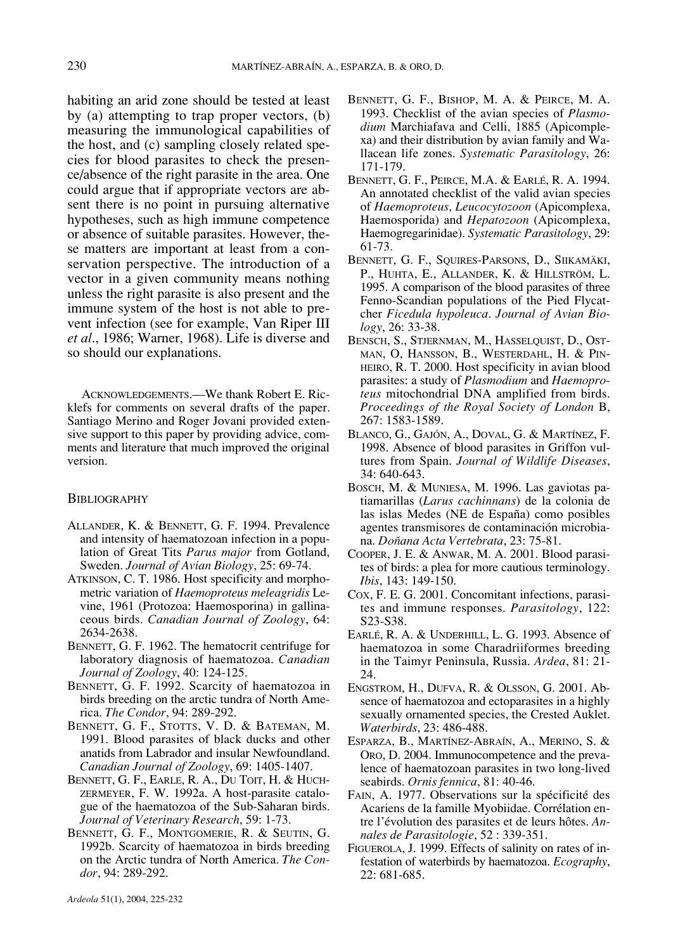habiting an arid zone should be tested at least by (a) attempting to trap proper vectors, (b) measuring the immunological capabilities of the host, and (c) sampling closely related species for blood parasites to check the presence/absence of the right parasite in the area. One could argue that if appropriate vectors are absent there is no point in pursuing alternative hypotheses, such as high immune competence or absence of suitable parasites. However, these matters are important at least from a conservation perspective. The introduction of a vector in a given community means nothing unless the right parasite is also present and the immune system of the host is not able to prevent infection (see for example, Van Riper III *et al*., 1986; Warner, 1968). Life is diverse and so should our explanations.

ACKNOWLEDGEMENTS.—We thank Robert E. Ricklefs for comments on several drafts of the paper. Santiago Merino and Roger Jovani provided extensive support to this paper by providing advice, comments and literature that much improved the original version.

#### **BIBLIOGRAPHY**

- ALLANDER, K. & BENNETT, G. F. 1994. Prevalence and intensity of haematozoan infection in a population of Great Tits *Parus major* from Gotland, Sweden. *Journal of Avian Biology*, 25: 69-74.
- ATKINSON, C. T. 1986. Host specificity and morphometric variation of *Haemoproteus meleagridis* Levine, 1961 (Protozoa: Haemosporina) in gallinaceous birds. *Canadian Journal of Zoology*, 64: 2634-2638.
- BENNETT, G. F. 1962. The hematocrit centrifuge for laboratory diagnosis of haematozoa. *Canadian Journal of Zoology*, 40: 124-125.
- BENNETT, G. F. 1992. Scarcity of haematozoa in birds breeding on the arctic tundra of North America. *The Condor*, 94: 289-292.
- BENNETT, G. F., STOTTS, V. D. & BATEMAN, M. 1991. Blood parasites of black ducks and other anatids from Labrador and insular Newfoundland. *Canadian Journal of Zoology*, 69: 1405-1407.
- BENNETT, G. F., EARLE, R. A., DU TOIT, H. & HUCH-ZERMEYER, F. W. 1992a. A host-parasite catalogue of the haematozoa of the Sub-Saharan birds. *Journal of Veterinary Research*, 59: 1-73.
- BENNETT, G. F., MONTGOMERIE, R. & SEUTIN, G. 1992b. Scarcity of haematozoa in birds breeding on the Arctic tundra of North America. *The Condor*, 94: 289-292.
- BENNETT, G. F., PEIRCE, M.A. & EARLÉ, R. A. 1994. An annotated checklist of the valid avian species of *Haemoproteus*, *Leucocytozoon* (Apicomplexa, Haemosporida) and *Hepatozoon* (Apicomplexa, Haemogregarinidae). *Systematic Parasitology*, 29: 61-73.
- BENNETT, G. F., SQUIRES-PARSONS, D., SIIKAMÄKI, P., HUHTA, E., ALLANDER, K. & HILLSTRÖM, L. 1995. A comparison of the blood parasites of three Fenno-Scandian populations of the Pied Flycatcher *Ficedula hypoleuca*. *Journal of Avian Biology*, 26: 33-38.
- BENSCH, S., STJERNMAN, M., HASSELQUIST, D., OST-MAN, O, HANSSON, B., WESTERDAHL, H. & PIN-HEIRO, R. T. 2000. Host specificity in avian blood parasites: a study of *Plasmodium* and *Haemoproteus* mitochondrial DNA amplified from birds. *Proceedings of the Royal Society of London* B, 267: 1583-1589.
- BLANCO, G., GAJÓN, A., DOVAL, G. & MARTÍNEZ, F. 1998. Absence of blood parasites in Griffon vultures from Spain. *Journal of Wildlife Diseases*, 34: 640-643.
- BOSCH, M. & MUNIESA, M. 1996. Las gaviotas patiamarillas (*Larus cachinnans*) de la colonia de las islas Medes (NE de España) como posibles agentes transmisores de contaminación microbiana. *Doñana Acta Vertebrata*, 23: 75-81.
- COOPER, J. E. & ANWAR, M. A. 2001. Blood parasites of birds: a plea for more cautious terminology. *Ibis*, 143: 149-150.
- COX, F. E. G. 2001. Concomitant infections, parasites and immune responses. *Parasitology*, 122: S23-S38.
- EARLÉ, R. A. & UNDERHILL, L. G. 1993. Absence of haematozoa in some Charadriiformes breeding in the Taimyr Peninsula, Russia. *Ardea*, 81: 21- 24.
- ENGSTROM, H., DUFVA, R. & OLSSON, G. 2001. Absence of haematozoa and ectoparasites in a highly sexually ornamented species, the Crested Auklet. *Waterbirds*, 23: 486-488.
- ESPARZA, B., MARTÍNEZ-ABRAÍN, A., MERINO, S. & ORO, D. 2004. Immunocompetence and the prevalence of haematozoan parasites in two long-lived seabirds. *Ornis fennica*, 81: 40-46.
- FAIN, A. 1977. Observations sur la spécificité des Acariens de la famille Myobiidae. Corrélation entre l'évolution des parasites et de leurs hôtes. *Annales de Parasitologie*, 52 : 339-351.
- FIGUEROLA, J. 1999. Effects of salinity on rates of infestation of waterbirds by haematozoa. *Ecography*, 22: 681-685.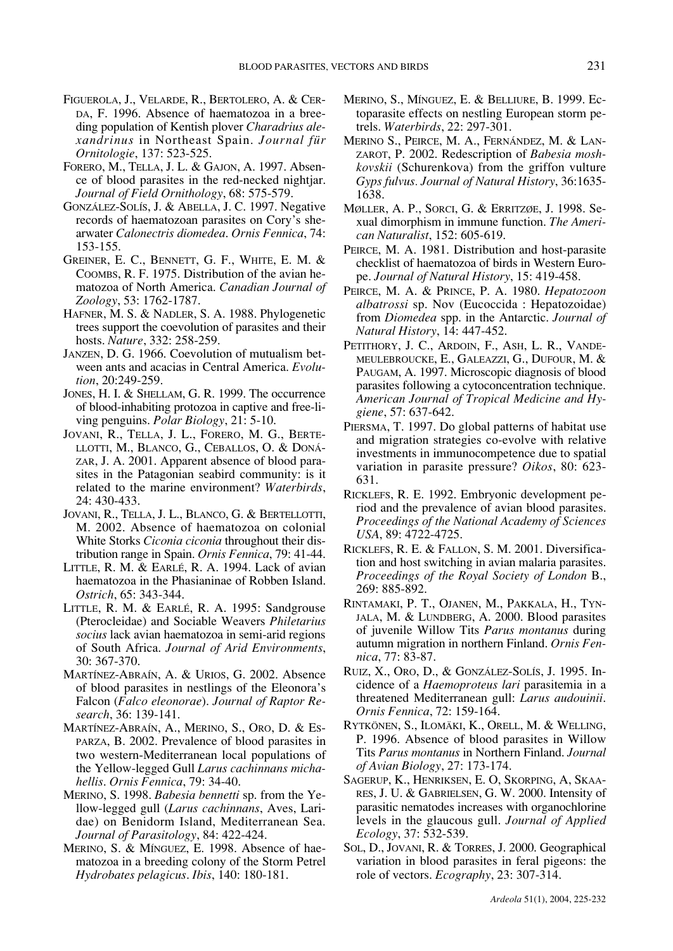- FIGUEROLA, J., VELARDE, R., BERTOLERO, A. & CER-DA, F. 1996. Absence of haematozoa in a breeding population of Kentish plover *Charadrius alexandrinus* in Northeast Spain. *Journal für Ornitologie*, 137: 523-525.
- FORERO, M., TELLA, J. L. & GAJON, A. 1997. Absence of blood parasites in the red-necked nightjar. *Journal of Field Ornithology*, 68: 575-579.
- GONZÁLEZ-SOLÍS, J. & ABELLA, J. C. 1997. Negative records of haematozoan parasites on Cory's shearwater *Calonectris diomedea*. *Ornis Fennica*, 74: 153-155.
- GREINER, E. C., BENNETT, G. F., WHITE, E. M. & COOMBS, R. F. 1975. Distribution of the avian hematozoa of North America. *Canadian Journal of Zoology*, 53: 1762-1787.
- HAFNER, M. S. & NADLER, S. A. 1988. Phylogenetic trees support the coevolution of parasites and their hosts. *Nature*, 332: 258-259.
- JANZEN, D. G. 1966. Coevolution of mutualism between ants and acacias in Central America. *Evolution*, 20:249-259.
- JONES, H. I. & SHELLAM, G. R. 1999. The occurrence of blood-inhabiting protozoa in captive and free-living penguins. *Polar Biology*, 21: 5-10.
- JOVANI, R., TELLA, J. L., FORERO, M. G., BERTE-LLOTTI, M., BLANCO, G., CEBALLOS, O. & DONÁ-ZAR, J. A. 2001. Apparent absence of blood parasites in the Patagonian seabird community: is it related to the marine environment? *Waterbirds*, 24: 430-433.
- JOVANI, R., TELLA, J. L., BLANCO, G. & BERTELLOTTI, M. 2002. Absence of haematozoa on colonial White Storks *Ciconia ciconia* throughout their distribution range in Spain. *Ornis Fennica*, 79: 41-44.
- LITTLE, R. M. & EARLÉ, R. A. 1994. Lack of avian haematozoa in the Phasianinae of Robben Island. *Ostrich*, 65: 343-344.
- LITTLE, R. M. & EARLÉ, R. A. 1995: Sandgrouse (Pterocleidae) and Sociable Weavers *Philetarius socius* lack avian haematozoa in semi-arid regions of South Africa. *Journal of Arid Environments*, 30: 367-370.
- MARTÍNEZ-ABRAÍN, A. & URIOS, G. 2002. Absence of blood parasites in nestlings of the Eleonora's Falcon (*Falco eleonorae*). *Journal of Raptor Research*, 36: 139-141.
- MARTÍNEZ-ABRAÍN, A., MERINO, S., ORO, D. & ES-PARZA, B. 2002. Prevalence of blood parasites in two western-Mediterranean local populations of the Yellow-legged Gull *Larus cachinnans michahellis*. *Ornis Fennica*, 79: 34-40.
- MERINO, S. 1998. *Babesia bennetti* sp. from the Yellow-legged gull (*Larus cachinnans*, Aves, Laridae) on Benidorm Island, Mediterranean Sea. *Journal of Parasitology*, 84: 422-424.
- MERINO, S. & MÍNGUEZ, E. 1998. Absence of haematozoa in a breeding colony of the Storm Petrel *Hydrobates pelagicus*. *Ibis*, 140: 180-181.
- MERINO, S., MÍNGUEZ, E. & BELLIURE, B. 1999. Ectoparasite effects on nestling European storm petrels. *Waterbirds*, 22: 297-301.
- MERINO S., PEIRCE, M. A., FERNÁNDEZ, M. & LAN-ZAROT, P. 2002. Redescription of *Babesia moshkovskii* (Schurenkova) from the griffon vulture *Gyps fulvus. Journal of Natural History*, 36:1635- 1638.
- MØLLER, A. P., SORCI, G. & ERRITZØE, J. 1998. Sexual dimorphism in immune function. *The American Naturalist*, 152: 605-619.
- PEIRCE, M. A. 1981. Distribution and host-parasite checklist of haematozoa of birds in Western Europe. *Journal of Natural History*, 15: 419-458.
- PEIRCE, M. A. & PRINCE, P. A. 1980. *Hepatozoon albatrossi* sp. Nov (Eucoccida : Hepatozoidae) from *Diomedea* spp. in the Antarctic. *Journal of Natural History*, 14: 447-452.
- PETITHORY, J. C., ARDOIN, F., ASH, L. R., VANDE-MEULEBROUCKE, E., GALEAZZI, G., DUFOUR, M. & PAUGAM, A. 1997. Microscopic diagnosis of blood parasites following a cytoconcentration technique. *American Journal of Tropical Medicine and Hygiene*, 57: 637-642.
- PIERSMA, T. 1997. Do global patterns of habitat use and migration strategies co-evolve with relative investments in immunocompetence due to spatial variation in parasite pressure? *Oikos*, 80: 623- 631.
- RICKLEFS, R. E. 1992. Embryonic development period and the prevalence of avian blood parasites. *Proceedings of the National Academy of Sciences USA*, 89: 4722-4725.
- RICKLEFS, R. E. & FALLON, S. M. 2001. Diversification and host switching in avian malaria parasites. *Proceedings of the Royal Society of London* B., 269: 885-892.
- RINTAMAKI, P. T., OJANEN, M., PAKKALA, H., TYN-JALA, M. & LUNDBERG, A. 2000. Blood parasites of juvenile Willow Tits *Parus montanus* during autumn migration in northern Finland. *Ornis Fennica*, 77: 83-87.
- RUIZ, X., ORO, D., & GONZÁLEZ-SOLÍS, J. 1995. Incidence of a *Haemoproteus lari* parasitemia in a threatened Mediterranean gull: *Larus audouinii*. *Ornis Fennica*, 72: 159-164.
- RYTKÖNEN, S., ILOMÄKI, K., ORELL, M. & WELLING, P. 1996. Absence of blood parasites in Willow Tits *Parus montanus* in Northern Finland. *Journal of Avian Biology*, 27: 173-174.
- SAGERUP, K., HENRIKSEN, E. O, SKORPING, A, SKAA-RES, J. U. & GABRIELSEN, G. W. 2000. Intensity of parasitic nematodes increases with organochlorine levels in the glaucous gull. *Journal of Applied Ecology*, 37: 532-539.
- SOL, D., JOVANI, R. & TORRES, J. 2000. Geographical variation in blood parasites in feral pigeons: the role of vectors. *Ecography*, 23: 307-314.